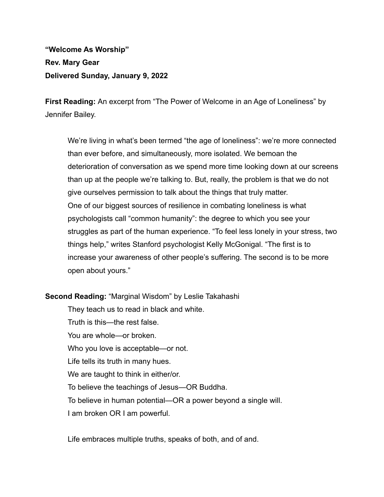## **"Welcome As Worship" Rev. Mary Gear Delivered Sunday, January 9, 2022**

**First Reading:** An excerpt from "The Power of Welcome in an Age of Loneliness" by Jennifer Bailey.

We're living in what's been termed "the age of loneliness": we're more connected than ever before, and simultaneously, more isolated. We bemoan the deterioration of conversation as we spend more time looking down at our screens than up at the people we're talking to. But, really, the problem is that we do not give ourselves permission to talk about the things that truly matter. One of our biggest sources of resilience in combating loneliness is what psychologists call "common humanity": the degree to which you see your struggles as part of the human experience. "To feel less lonely in your stress, two things help," writes Stanford psychologist Kelly McGonigal. "The first is to increase your awareness of other people's suffering. The second is to be more open about yours."

**Second Reading:** "Marginal Wisdom" by Leslie Takahashi

They teach us to read in black and white. Truth is this—the rest false. You are whole—or broken. Who you love is acceptable—or not. Life tells its truth in many hues. We are taught to think in either/or. To believe the teachings of Jesus—OR Buddha. To believe in human potential—OR a power beyond a single will. I am broken OR I am powerful.

Life embraces multiple truths, speaks of both, and of and.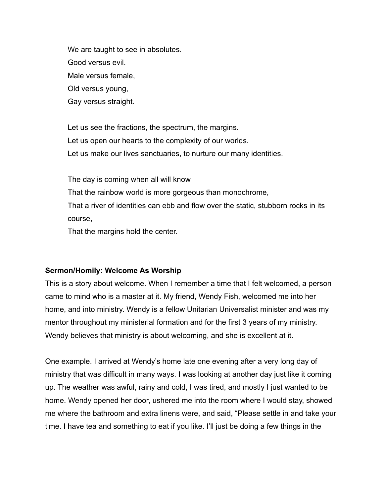We are taught to see in absolutes. Good versus evil. Male versus female, Old versus young, Gay versus straight.

Let us see the fractions, the spectrum, the margins. Let us open our hearts to the complexity of our worlds. Let us make our lives sanctuaries, to nurture our many identities.

The day is coming when all will know That the rainbow world is more gorgeous than monochrome, That a river of identities can ebb and flow over the static, stubborn rocks in its course,

That the margins hold the center.

## **Sermon/Homily: Welcome As Worship**

This is a story about welcome. When I remember a time that I felt welcomed, a person came to mind who is a master at it. My friend, Wendy Fish, welcomed me into her home, and into ministry. Wendy is a fellow Unitarian Universalist minister and was my mentor throughout my ministerial formation and for the first 3 years of my ministry. Wendy believes that ministry is about welcoming, and she is excellent at it.

One example. I arrived at Wendy's home late one evening after a very long day of ministry that was difficult in many ways. I was looking at another day just like it coming up. The weather was awful, rainy and cold, I was tired, and mostly I just wanted to be home. Wendy opened her door, ushered me into the room where I would stay, showed me where the bathroom and extra linens were, and said, "Please settle in and take your time. I have tea and something to eat if you like. I'll just be doing a few things in the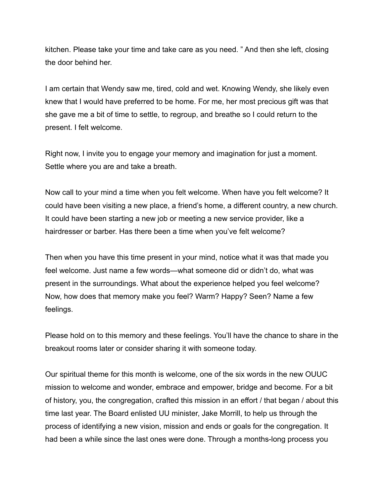kitchen. Please take your time and take care as you need. " And then she left, closing the door behind her.

I am certain that Wendy saw me, tired, cold and wet. Knowing Wendy, she likely even knew that I would have preferred to be home. For me, her most precious gift was that she gave me a bit of time to settle, to regroup, and breathe so I could return to the present. I felt welcome.

Right now, I invite you to engage your memory and imagination for just a moment. Settle where you are and take a breath.

Now call to your mind a time when you felt welcome. When have you felt welcome? It could have been visiting a new place, a friend's home, a different country, a new church. It could have been starting a new job or meeting a new service provider, like a hairdresser or barber. Has there been a time when you've felt welcome?

Then when you have this time present in your mind, notice what it was that made you feel welcome. Just name a few words—what someone did or didn't do, what was present in the surroundings. What about the experience helped you feel welcome? Now, how does that memory make you feel? Warm? Happy? Seen? Name a few feelings.

Please hold on to this memory and these feelings. You'll have the chance to share in the breakout rooms later or consider sharing it with someone today.

Our spiritual theme for this month is welcome, one of the six words in the new OUUC mission to welcome and wonder, embrace and empower, bridge and become. For a bit of history, you, the congregation, crafted this mission in an effort / that began / about this time last year. The Board enlisted UU minister, Jake Morrill, to help us through the process of identifying a new vision, mission and ends or goals for the congregation. It had been a while since the last ones were done. Through a months-long process you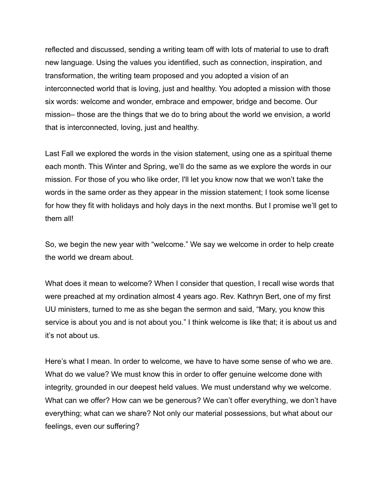reflected and discussed, sending a writing team off with lots of material to use to draft new language. Using the values you identified, such as connection, inspiration, and transformation, the writing team proposed and you adopted a vision of an interconnected world that is loving, just and healthy. You adopted a mission with those six words: welcome and wonder, embrace and empower, bridge and become. Our mission– those are the things that we do to bring about the world we envision, a world that is interconnected, loving, just and healthy.

Last Fall we explored the words in the vision statement, using one as a spiritual theme each month. This Winter and Spring, we'll do the same as we explore the words in our mission. For those of you who like order, I'll let you know now that we won't take the words in the same order as they appear in the mission statement; I took some license for how they fit with holidays and holy days in the next months. But I promise we'll get to them all!

So, we begin the new year with "welcome." We say we welcome in order to help create the world we dream about.

What does it mean to welcome? When I consider that question, I recall wise words that were preached at my ordination almost 4 years ago. Rev. Kathryn Bert, one of my first UU ministers, turned to me as she began the sermon and said, "Mary, you know this service is about you and is not about you." I think welcome is like that; it is about us and it's not about us.

Here's what I mean. In order to welcome, we have to have some sense of who we are. What do we value? We must know this in order to offer genuine welcome done with integrity, grounded in our deepest held values. We must understand why we welcome. What can we offer? How can we be generous? We can't offer everything, we don't have everything; what can we share? Not only our material possessions, but what about our feelings, even our suffering?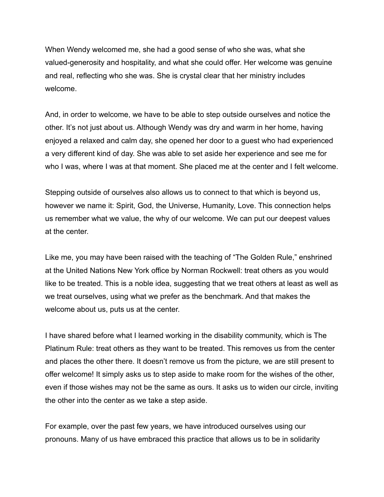When Wendy welcomed me, she had a good sense of who she was, what she valued-generosity and hospitality, and what she could offer. Her welcome was genuine and real, reflecting who she was. She is crystal clear that her ministry includes welcome.

And, in order to welcome, we have to be able to step outside ourselves and notice the other. It's not just about us. Although Wendy was dry and warm in her home, having enjoyed a relaxed and calm day, she opened her door to a guest who had experienced a very different kind of day. She was able to set aside her experience and see me for who I was, where I was at that moment. She placed me at the center and I felt welcome.

Stepping outside of ourselves also allows us to connect to that which is beyond us, however we name it: Spirit, God, the Universe, Humanity, Love. This connection helps us remember what we value, the why of our welcome. We can put our deepest values at the center.

Like me, you may have been raised with the teaching of "The Golden Rule," enshrined at the United Nations New York office by Norman Rockwell: treat others as you would like to be treated. This is a noble idea, suggesting that we treat others at least as well as we treat ourselves, using what we prefer as the benchmark. And that makes the welcome about us, puts us at the center.

I have shared before what I learned working in the disability community, which is The Platinum Rule: treat others as they want to be treated. This removes us from the center and places the other there. It doesn't remove us from the picture, we are still present to offer welcome! It simply asks us to step aside to make room for the wishes of the other, even if those wishes may not be the same as ours. It asks us to widen our circle, inviting the other into the center as we take a step aside.

For example, over the past few years, we have introduced ourselves using our pronouns. Many of us have embraced this practice that allows us to be in solidarity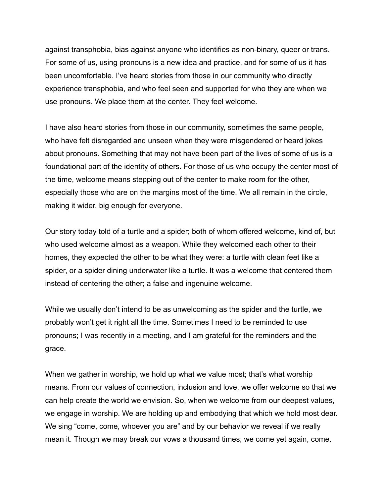against transphobia, bias against anyone who identifies as non-binary, queer or trans. For some of us, using pronouns is a new idea and practice, and for some of us it has been uncomfortable. I've heard stories from those in our community who directly experience transphobia, and who feel seen and supported for who they are when we use pronouns. We place them at the center. They feel welcome.

I have also heard stories from those in our community, sometimes the same people, who have felt disregarded and unseen when they were misgendered or heard jokes about pronouns. Something that may not have been part of the lives of some of us is a foundational part of the identity of others. For those of us who occupy the center most of the time, welcome means stepping out of the center to make room for the other, especially those who are on the margins most of the time. We all remain in the circle, making it wider, big enough for everyone.

Our story today told of a turtle and a spider; both of whom offered welcome, kind of, but who used welcome almost as a weapon. While they welcomed each other to their homes, they expected the other to be what they were: a turtle with clean feet like a spider, or a spider dining underwater like a turtle. It was a welcome that centered them instead of centering the other; a false and ingenuine welcome.

While we usually don't intend to be as unwelcoming as the spider and the turtle, we probably won't get it right all the time. Sometimes I need to be reminded to use pronouns; I was recently in a meeting, and I am grateful for the reminders and the grace.

When we gather in worship, we hold up what we value most; that's what worship means. From our values of connection, inclusion and love, we offer welcome so that we can help create the world we envision. So, when we welcome from our deepest values, we engage in worship. We are holding up and embodying that which we hold most dear. We sing "come, come, whoever you are" and by our behavior we reveal if we really mean it. Though we may break our vows a thousand times, we come yet again, come.